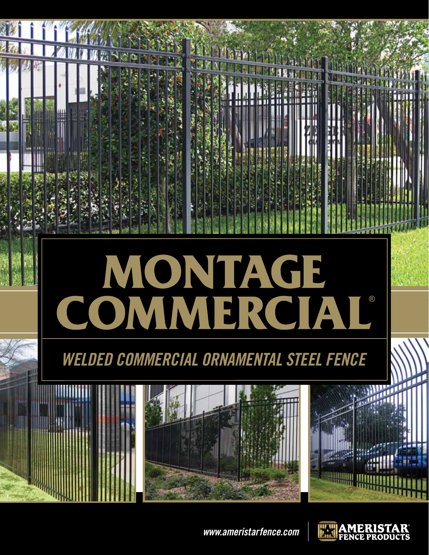

*www.ameristarfence.com*

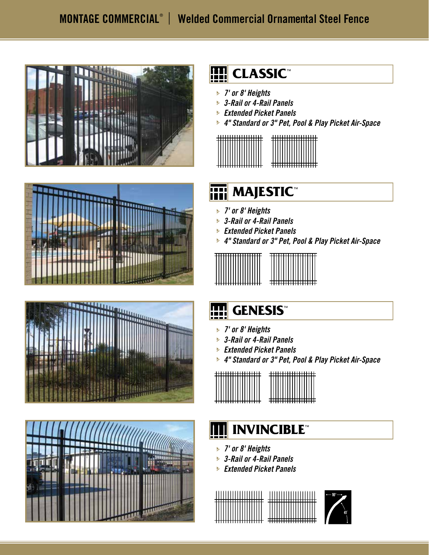







## **FIII** CLASSIC™

- *7' or 8' Heights* j
- *3-Rail or 4-Rail Panels* j
- *Extended Picket Panels* j
- *4" Standard or 3" Pet, Pool & Play Picket Air-Space* j



## **MAJESTIC**

- *7' or 8' Heights* j
- *3-Rail or 4-Rail Panels* j
- *Extended Picket Panels* j
- *4" Standard or 3" Pet, Pool & Play Picket Air-Space* j



# **FEE** GENESIS™

- *7' or 8' Heights* j
- *3-Rail or 4-Rail Panels* j
- *Extended Picket Panels* j
- *4" Standard or 3" Pet, Pool & Play Picket Air-Space* j



#### **INVINCIBLE™**

- *7' or 8' Heights* j
- *3-Rail or 4-Rail Panels* j
- *Extended Picket Panels* j



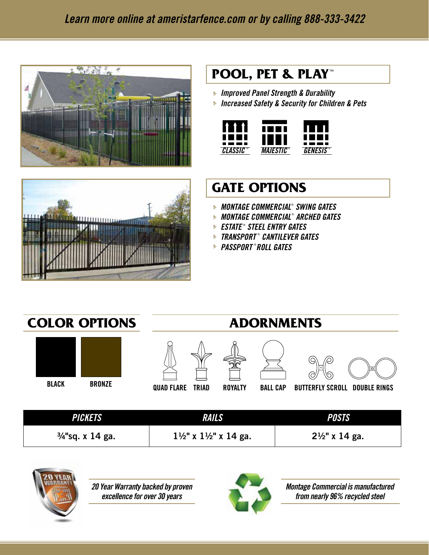



#### **POOL, PET & PLAY ™**

- *Improved Panel Strength & Durability* j
- *Increased Safety & Security for Children & Pets* j



#### **GATE OPTIONS**

- *MONTAGE COMMERCIAL*® *SWING GATES* j
- *MONTAGE COMMERCIAL* ® *ARCHED GATES* j
- *ESTATE* ®  *STEEL ENTRY GATES* j
- *TRANSPORT* ® *CANTILEVER GATES* j
- *PASSPORT* ® *ROLL GATES* j



| <i><b>PICKETS</b></i>       | <b>RAILS</b>                                 | <b>POSTS</b>              |
|-----------------------------|----------------------------------------------|---------------------------|
| $\frac{3}{4}$ "sq. x 14 ga. | $1\frac{1}{2}$ " x $1\frac{1}{2}$ " x 14 ga. | $2\frac{1}{2}$ " x 14 ga. |



*20 Year Warranty backed by proven excellence for over 30 years*



*Montage Commercial is manufactured from nearly 96% recycled steel*